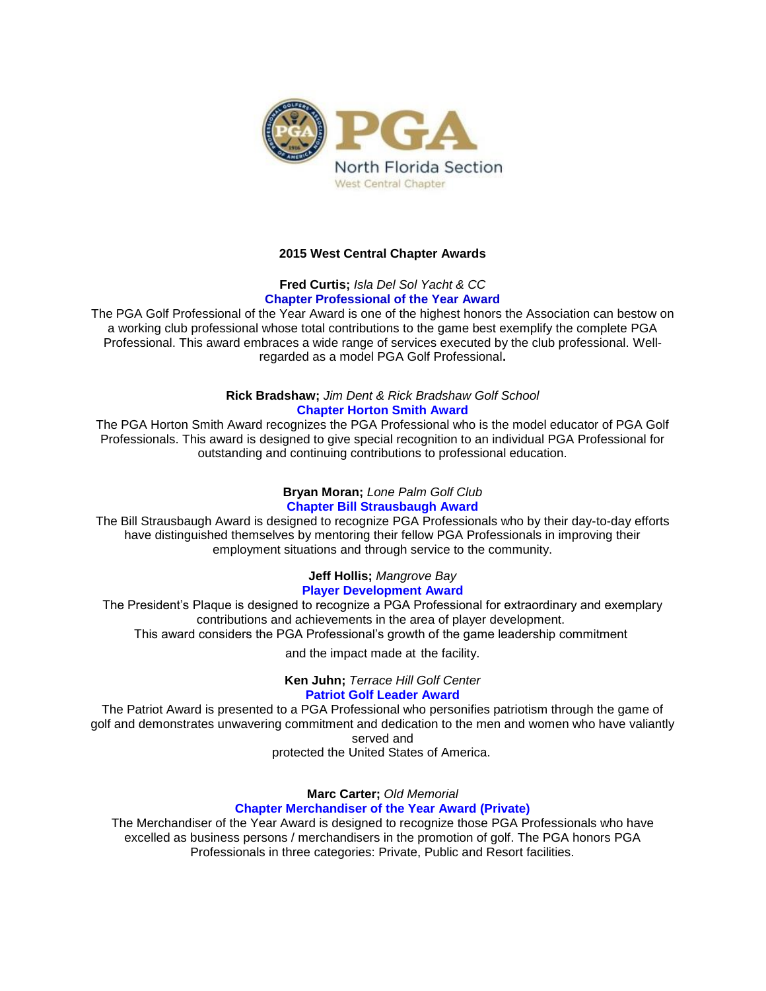

# **2015 West Central Chapter Awards**

# **Fred Curtis;** *Isla Del Sol Yacht & CC* **Chapter Professional of the Year Award**

The PGA Golf Professional of the Year Award is one of the highest honors the Association can bestow on a working club professional whose total contributions to the game best exemplify the complete PGA Professional. This award embraces a wide range of services executed by the club professional. Wellregarded as a model PGA Golf Professional**.**

# **Rick Bradshaw;** *Jim Dent & Rick Bradshaw Golf School* **Chapter Horton Smith Award**

The PGA Horton Smith Award recognizes the PGA Professional who is the model educator of PGA Golf Professionals. This award is designed to give special recognition to an individual PGA Professional for outstanding and continuing contributions to professional education.

### **Bryan Moran;** *Lone Palm Golf Club* **Chapter Bill Strausbaugh Award**

The Bill Strausbaugh Award is designed to recognize PGA Professionals who by their day-to-day efforts have distinguished themselves by mentoring their fellow PGA Professionals in improving their employment situations and through service to the community.

#### **Jeff Hollis;** *Mangrove Bay* **Player Development Award**

The President's Plaque is designed to recognize a PGA Professional for extraordinary and exemplary contributions and achievements in the area of player development. This award considers the PGA Professional's growth of the game leadership commitment

and the impact made at the facility.

**Ken Juhn;** *Terrace Hill Golf Center* **Patriot Golf Leader Award**

The Patriot Award is presented to a PGA Professional who personifies patriotism through the game of golf and demonstrates unwavering commitment and dedication to the men and women who have valiantly served and

protected the United States of America.

**Marc Carter;** *Old Memorial* **Chapter Merchandiser of the Year Award (Private)**

The Merchandiser of the Year Award is designed to recognize those PGA Professionals who have excelled as business persons / merchandisers in the promotion of golf. The PGA honors PGA Professionals in three categories: Private, Public and Resort facilities.